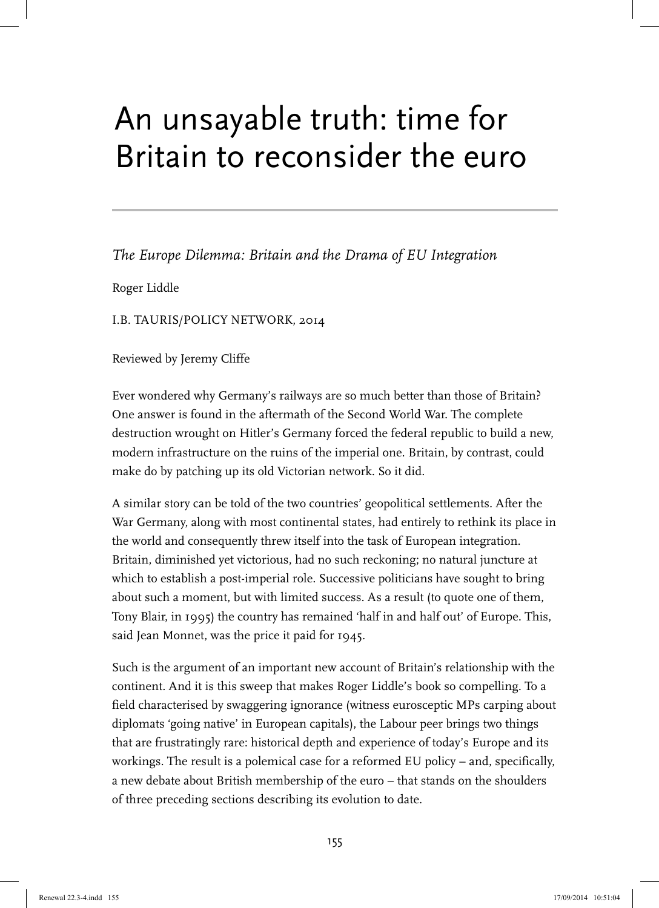## An unsayable truth: time for Britain to reconsider the euro

*The Europe Dilemma: Britain and the Drama of EU Integration*

Roger Liddle

I.B. TAURIS/POLICY NETWORK, 2014

Reviewed by Jeremy Cliffe

Ever wondered why Germany's railways are so much better than those of Britain? One answer is found in the aftermath of the Second World War. The complete destruction wrought on Hitler's Germany forced the federal republic to build a new, modern infrastructure on the ruins of the imperial one. Britain, by contrast, could make do by patching up its old Victorian network. So it did.

A similar story can be told of the two countries' geopolitical settlements. After the War Germany, along with most continental states, had entirely to rethink its place in the world and consequently threw itself into the task of European integration. Britain, diminished yet victorious, had no such reckoning; no natural juncture at which to establish a post-imperial role. Successive politicians have sought to bring about such a moment, but with limited success. As a result (to quote one of them, Tony Blair, in 1995) the country has remained 'half in and half out' of Europe. This, said Jean Monnet, was the price it paid for 1945.

Such is the argument of an important new account of Britain's relationship with the continent. And it is this sweep that makes Roger Liddle's book so compelling. To a field characterised by swaggering ignorance (witness eurosceptic MPs carping about diplomats 'going native' in European capitals), the Labour peer brings two things that are frustratingly rare: historical depth and experience of today's Europe and its workings. The result is a polemical case for a reformed EU policy – and, specifically, a new debate about British membership of the euro – that stands on the shoulders of three preceding sections describing its evolution to date.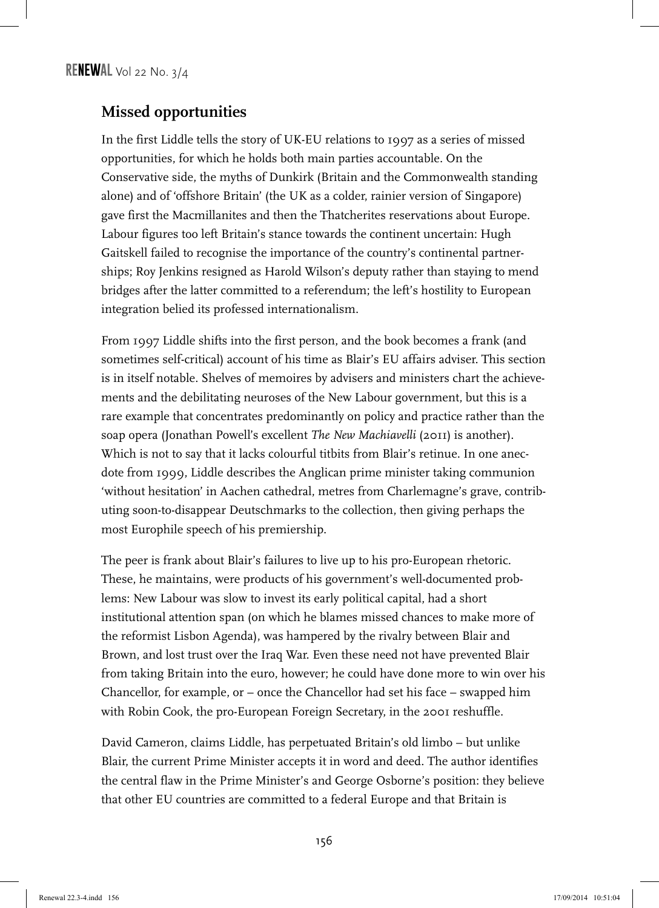## **Missed opportunities**

In the first Liddle tells the story of UK-EU relations to 1997 as a series of missed opportunities, for which he holds both main parties accountable. On the Conservative side, the myths of Dunkirk (Britain and the Commonwealth standing alone) and of 'offshore Britain' (the UK as a colder, rainier version of Singapore) gave first the Macmillanites and then the Thatcherites reservations about Europe. Labour figures too left Britain's stance towards the continent uncertain: Hugh Gaitskell failed to recognise the importance of the country's continental partnerships; Roy Jenkins resigned as Harold Wilson's deputy rather than staying to mend bridges after the latter committed to a referendum; the left's hostility to European integration belied its professed internationalism.

From 1997 Liddle shifts into the first person, and the book becomes a frank (and sometimes self-critical) account of his time as Blair's EU affairs adviser. This section is in itself notable. Shelves of memoires by advisers and ministers chart the achievements and the debilitating neuroses of the New Labour government, but this is a rare example that concentrates predominantly on policy and practice rather than the soap opera (Jonathan Powell's excellent *The New Machiavelli* (2011) is another). Which is not to say that it lacks colourful titbits from Blair's retinue. In one anecdote from 1999, Liddle describes the Anglican prime minister taking communion 'without hesitation' in Aachen cathedral, metres from Charlemagne's grave, contributing soon-to-disappear Deutschmarks to the collection, then giving perhaps the most Europhile speech of his premiership.

The peer is frank about Blair's failures to live up to his pro-European rhetoric. These, he maintains, were products of his government's well-documented problems: New Labour was slow to invest its early political capital, had a short institutional attention span (on which he blames missed chances to make more of the reformist Lisbon Agenda), was hampered by the rivalry between Blair and Brown, and lost trust over the Iraq War. Even these need not have prevented Blair from taking Britain into the euro, however; he could have done more to win over his Chancellor, for example, or – once the Chancellor had set his face – swapped him with Robin Cook, the pro-European Foreign Secretary, in the 2001 reshuffle.

David Cameron, claims Liddle, has perpetuated Britain's old limbo – but unlike Blair, the current Prime Minister accepts it in word and deed. The author identifies the central flaw in the Prime Minister's and George Osborne's position: they believe that other EU countries are committed to a federal Europe and that Britain is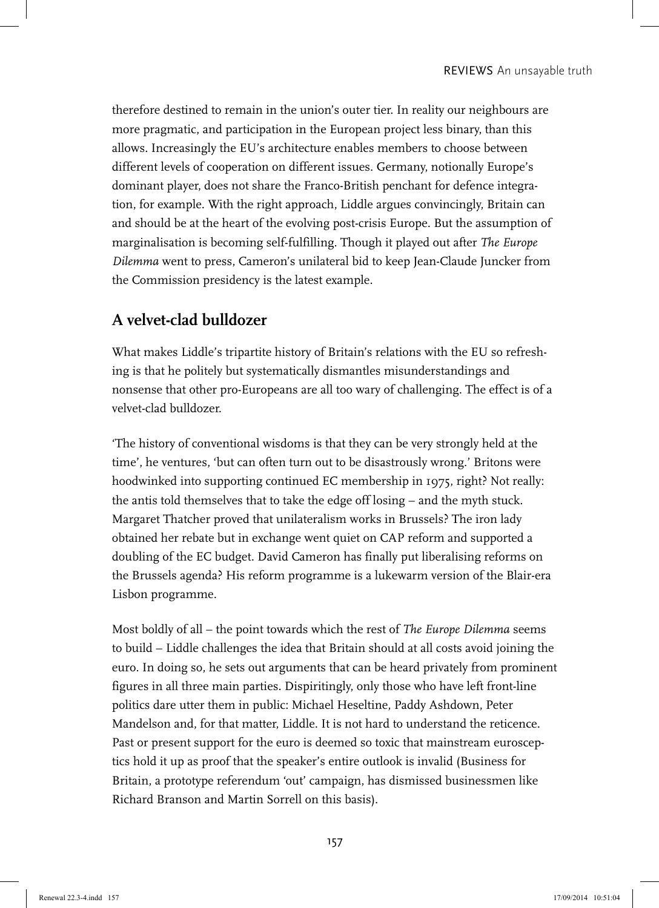therefore destined to remain in the union's outer tier. In reality our neighbours are more pragmatic, and participation in the European project less binary, than this allows. Increasingly the EU's architecture enables members to choose between different levels of cooperation on different issues. Germany, notionally Europe's dominant player, does not share the Franco-British penchant for defence integration, for example. With the right approach, Liddle argues convincingly, Britain can and should be at the heart of the evolving post-crisis Europe. But the assumption of marginalisation is becoming self-fulfilling. Though it played out after *The Europe Dilemma* went to press, Cameron's unilateral bid to keep Jean-Claude Juncker from the Commission presidency is the latest example.

## **A velvet-clad bulldozer**

What makes Liddle's tripartite history of Britain's relations with the EU so refreshing is that he politely but systematically dismantles misunderstandings and nonsense that other pro-Europeans are all too wary of challenging. The effect is of a velvet-clad bulldozer.

'The history of conventional wisdoms is that they can be very strongly held at the time', he ventures, 'but can often turn out to be disastrously wrong.' Britons were hoodwinked into supporting continued EC membership in 1975, right? Not really: the antis told themselves that to take the edge off losing – and the myth stuck. Margaret Thatcher proved that unilateralism works in Brussels? The iron lady obtained her rebate but in exchange went quiet on CAP reform and supported a doubling of the EC budget. David Cameron has finally put liberalising reforms on the Brussels agenda? His reform programme is a lukewarm version of the Blair-era Lisbon programme.

Most boldly of all – the point towards which the rest of *The Europe Dilemma* seems to build – Liddle challenges the idea that Britain should at all costs avoid joining the euro. In doing so, he sets out arguments that can be heard privately from prominent figures in all three main parties. Dispiritingly, only those who have left front-line politics dare utter them in public: Michael Heseltine, Paddy Ashdown, Peter Mandelson and, for that matter, Liddle. It is not hard to understand the reticence. Past or present support for the euro is deemed so toxic that mainstream eurosceptics hold it up as proof that the speaker's entire outlook is invalid (Business for Britain, a prototype referendum 'out' campaign, has dismissed businessmen like Richard Branson and Martin Sorrell on this basis).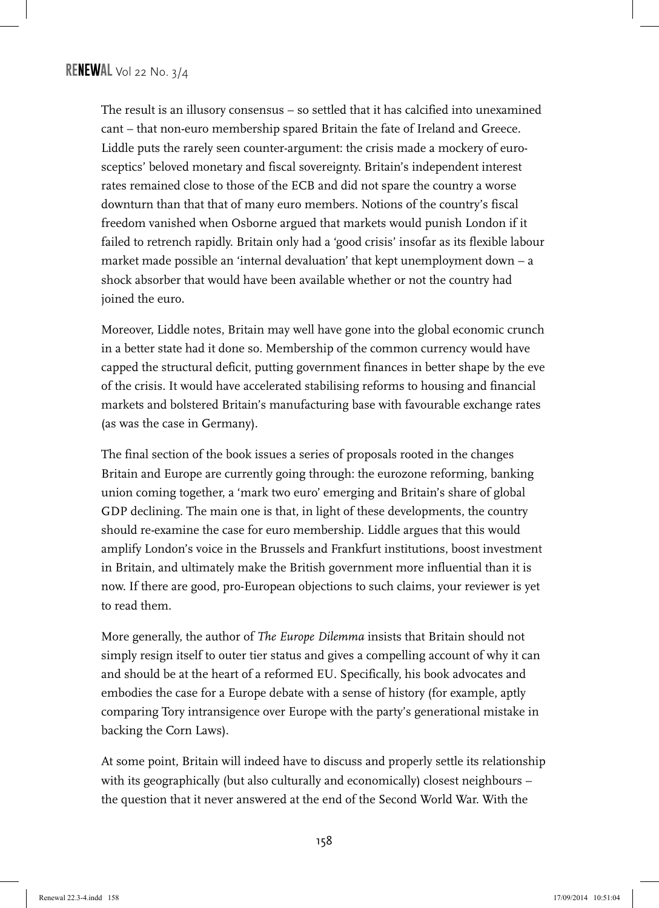The result is an illusory consensus – so settled that it has calcified into unexamined cant – that non-euro membership spared Britain the fate of Ireland and Greece. Liddle puts the rarely seen counter-argument: the crisis made a mockery of eurosceptics' beloved monetary and fiscal sovereignty. Britain's independent interest rates remained close to those of the ECB and did not spare the country a worse downturn than that that of many euro members. Notions of the country's fiscal freedom vanished when Osborne argued that markets would punish London if it failed to retrench rapidly. Britain only had a 'good crisis' insofar as its flexible labour market made possible an 'internal devaluation' that kept unemployment down – a shock absorber that would have been available whether or not the country had joined the euro.

Moreover, Liddle notes, Britain may well have gone into the global economic crunch in a better state had it done so. Membership of the common currency would have capped the structural deficit, putting government finances in better shape by the eve of the crisis. It would have accelerated stabilising reforms to housing and financial markets and bolstered Britain's manufacturing base with favourable exchange rates (as was the case in Germany).

The final section of the book issues a series of proposals rooted in the changes Britain and Europe are currently going through: the eurozone reforming, banking union coming together, a 'mark two euro' emerging and Britain's share of global GDP declining. The main one is that, in light of these developments, the country should re-examine the case for euro membership. Liddle argues that this would amplify London's voice in the Brussels and Frankfurt institutions, boost investment in Britain, and ultimately make the British government more influential than it is now. If there are good, pro-European objections to such claims, your reviewer is yet to read them.

More generally, the author of *The Europe Dilemma* insists that Britain should not simply resign itself to outer tier status and gives a compelling account of why it can and should be at the heart of a reformed EU. Specifically, his book advocates and embodies the case for a Europe debate with a sense of history (for example, aptly comparing Tory intransigence over Europe with the party's generational mistake in backing the Corn Laws).

At some point, Britain will indeed have to discuss and properly settle its relationship with its geographically (but also culturally and economically) closest neighbours the question that it never answered at the end of the Second World War. With the